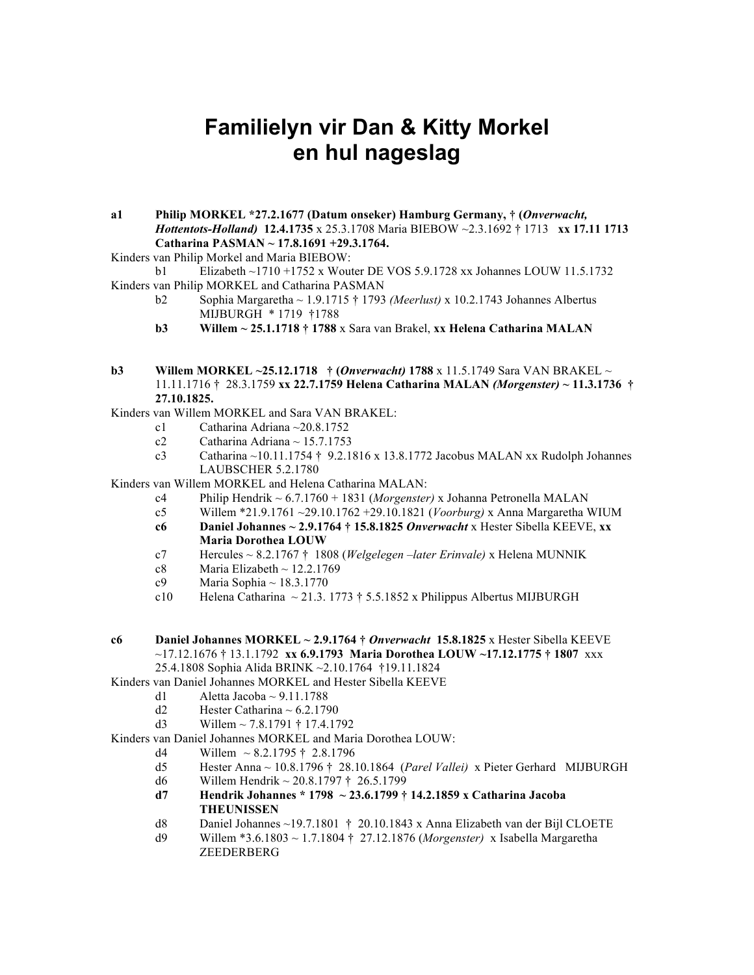## **Familielyn vir Dan & Kitty Morkel en hul nageslag**

- **a1 Philip MORKEL \*27.2.1677 (Datum onseker) Hamburg Germany, † (***Onverwacht, Hottentots-Holland)* **12.4.1735** x 25.3.1708 Maria BIEBOW ~2.3.1692 † 1713 **xx 17.11 1713 Catharina PASMAN ~ 17.8.1691 +29.3.1764.**
- Kinders van Philip Morkel and Maria BIEBOW:

b1 Elizabeth ~1710 +1752 x Wouter DE VOS 5.9.1728 xx Johannes LOUW 11.5.1732 Kinders van Philip MORKEL and Catharina PASMAN

- b2 Sophia Margaretha ~ 1.9.1715 † 1793 *(Meerlust)* x 10.2.1743 Johannes Albertus MIJBURGH \* 1719 †1788
- **b3 Willem ~ 25.1.1718 † 1788** x Sara van Brakel, **xx Helena Catharina MALAN**

## **b3 Willem MORKEL ~25.12.1718 † (***Onverwacht)* **1788** x 11.5.1749 Sara VAN BRAKEL ~ 11.11.1716 † 28.3.1759 **xx 22.7.1759 Helena Catharina MALAN** *(Morgenster)* **~ 11.3.1736 † 27.10.1825.**

Kinders van Willem MORKEL and Sara VAN BRAKEL:

- c1 Catharina Adriana ~20.8.1752
- c2 Catharina Adriana ~  $15.7.1753$
- c3 Catharina ~10.11.1754 † 9.2.1816 x 13.8.1772 Jacobus MALAN xx Rudolph Johannes LAUBSCHER 5.2.1780

Kinders van Willem MORKEL and Helena Catharina MALAN:

- c4 Philip Hendrik ~ 6.7.1760 + 1831 (*Morgenster)* x Johanna Petronella MALAN
- c5 Willem \*21.9.1761 ~29.10.1762 +29.10.1821 (*Voorburg)* x Anna Margaretha WIUM
- **c6 Daniel Johannes ~ 2.9.1764 † 15.8.1825** *Onverwacht* x Hester Sibella KEEVE, **xx Maria Dorothea LOUW**
- c7 Hercules ~ 8.2.1767 † 1808 (*Welgelegen –later Erinvale)* x Helena MUNNIK
- c8 Maria Elizabeth  $\sim$  12.2.1769
- c9 Maria Sophia ~  $18.3.1770$
- c10 Helena Catharina ~ 21.3. 1773 † 5.5.1852 x Philippus Albertus MIJBURGH
- **c6 Daniel Johannes MORKEL ~ 2.9.1764 †** *Onverwacht* **15.8.1825** x Hester Sibella KEEVE ~17.12.1676 † 13.1.1792 **xx 6.9.1793 Maria Dorothea LOUW ~17.12.1775 † 1807** xxx 25.4.1808 Sophia Alida BRINK ~2.10.1764 †19.11.1824
- Kinders van Daniel Johannes MORKEL and Hester Sibella KEEVE
	- d1 Aletta Jacoba  $\sim 9.11.1788$
	- d2 Hester Catharina  $\sim 6.2.1790$
	- d3 Willem  $\sim 7.8.1791 \pm 17.4.1792$

Kinders van Daniel Johannes MORKEL and Maria Dorothea LOUW:

- d4 Willem  $\sim 8.2.1795 \div 2.8.1796$
- d5 Hester Anna ~ 10.8.1796 † 28.10.1864 (*Parel Vallei)* x Pieter Gerhard MIJBURGH
- d6 Willem Hendrik ~  $20.8.1797 \div 26.5.1799$
- **d7 Hendrik Johannes \* 1798 ~ 23.6.1799 † 14.2.1859 x Catharina Jacoba THEUNISSEN**
- d8 Daniel Johannes ~19.7.1801 † 20.10.1843 x Anna Elizabeth van der Bijl CLOETE
- d9 Willem \*3.6.1803 ~ 1.7.1804 † 27.12.1876 (*Morgenster)* x Isabella Margaretha ZEEDERBERG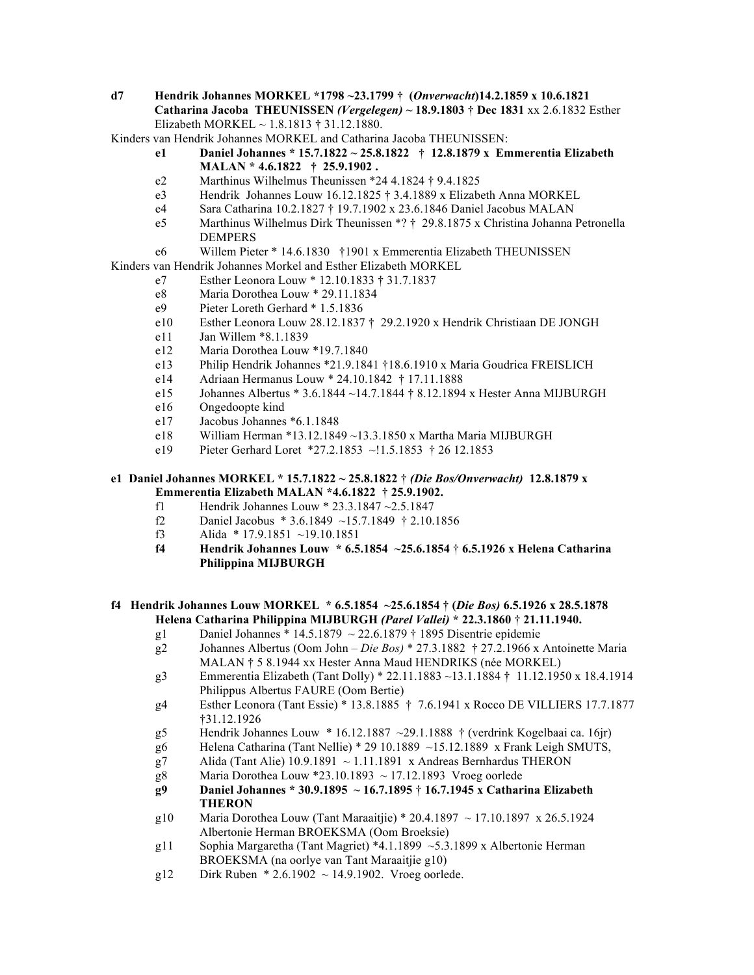**d7 Hendrik Johannes MORKEL \*1798 ~23.1799 † (***Onverwacht***)14.2.1859 x 10.6.1821 Catharina Jacoba THEUNISSEN** *(Vergelegen)* **~ 18.9.1803 † Dec 1831** xx 2.6.1832 Esther Elizabeth MORKEL ~ 1.8.1813 † 31.12.1880.

Kinders van Hendrik Johannes MORKEL and Catharina Jacoba THEUNISSEN:

- **e1 Daniel Johannes \* 15.7.1822 ~ 25.8.1822 † 12.8.1879 x Emmerentia Elizabeth MALAN \* 4.6.1822 † 25.9.1902 .**
- e2 Marthinus Wilhelmus Theunissen \*24 4.1824 † 9.4.1825
- e3 Hendrik Johannes Louw 16.12.1825 † 3.4.1889 x Elizabeth Anna MORKEL
- e4 Sara Catharina 10.2.1827 † 19.7.1902 x 23.6.1846 Daniel Jacobus MALAN
- e5 Marthinus Wilhelmus Dirk Theunissen \*? † 29.8.1875 x Christina Johanna Petronella DEMPERS
- e6 Willem Pieter \* 14.6.1830 †1901 x Emmerentia Elizabeth THEUNISSEN

Kinders van Hendrik Johannes Morkel and Esther Elizabeth MORKEL

- e7 Esther Leonora Louw \* 12.10.1833 † 31.7.1837
- e8 Maria Dorothea Louw \* 29.11.1834
- e9 Pieter Loreth Gerhard \* 1.5.1836
- e10 Esther Leonora Louw 28.12.1837 † 29.2.1920 x Hendrik Christiaan DE JONGH
- e11 Jan Willem \*8.1.1839
- e12 Maria Dorothea Louw \*19.7.1840
- e13 Philip Hendrik Johannes \*21.9.1841 †18.6.1910 x Maria Goudrica FREISLICH
- e14 Adriaan Hermanus Louw \* 24.10.1842 † 17.11.1888
- e15 Johannes Albertus \* 3.6.1844 ~14.7.1844 † 8.12.1894 x Hester Anna MIJBURGH
- e16 Ongedoopte kind
- e17 Jacobus Johannes \*6.1.1848
- e18 William Herman \*13.12.1849 ~13.3.1850 x Martha Maria MIJBURGH
- e19 Pieter Gerhard Loret \*27.2.1853 ~!1.5.1853 † 26 12.1853

## **e1 Daniel Johannes MORKEL \* 15.7.1822 ~ 25.8.1822** † *(Die Bos/Onverwacht)* **12.8.1879 x Emmerentia Elizabeth MALAN \*4.6.1822** † **25.9.1902.**

- f1 Hendrik Johannes Louw \* 23.3.1847 ~2.5.1847
- f2 Daniel Jacobus \* 3.6.1849 ~15.7.1849 † 2.10.1856
- f3 Alida \* 17.9.1851 ~19.10.1851
- **f4 Hendrik Johannes Louw \* 6.5.1854 ~25.6.1854** † **6.5.1926 x Helena Catharina Philippina MIJBURGH**

## **f4 Hendrik Johannes Louw MORKEL \* 6.5.1854 ~25.6.1854** † **(***Die Bos)* **6.5.1926 x 28.5.1878 Helena Catharina Philippina MIJBURGH** *(Parel Vallei)* **\* 22.3.1860** † **21.11.1940.**

- g1 Daniel Johannes \* 14.5.1879  $\sim$  22.6.1879 † 1895 Disentrie epidemie
- g2 Johannes Albertus (Oom John *Die Bos)* \* 27.3.1882 † 27.2.1966 x Antoinette Maria MALAN † 5 8.1944 xx Hester Anna Maud HENDRIKS (née MORKEL)
- g3 Emmerentia Elizabeth (Tant Dolly) \* 22.11.1883 ~13.1.1884 † 11.12.1950 x 18.4.1914 Philippus Albertus FAURE (Oom Bertie)
- g4 Esther Leonora (Tant Essie) \* 13.8.1885 † 7.6.1941 x Rocco DE VILLIERS 17.7.1877 †31.12.1926
- g5 Hendrik Johannes Louw \* 16.12.1887 ~29.1.1888 † (verdrink Kogelbaai ca. 16jr)
- g6 Helena Catharina (Tant Nellie) \* 29 10.1889  $\sim$ 15.12.1889 x Frank Leigh SMUTS,
- g7 Alida (Tant Alie)  $10.9.1891 \sim 1.11.1891$  x Andreas Bernhardus THERON
- g8 Maria Dorothea Louw \*23.10.1893 ~ 17.12.1893 Vroeg oorlede
- **g9 Daniel Johannes \* 30.9.1895 ~ 16.7.1895** † **16.7.1945 x Catharina Elizabeth THERON**
- g10 Maria Dorothea Louw (Tant Maraaitjie) \* 20.4.1897  $\sim$  17.10.1897 x 26.5.1924 Albertonie Herman BROEKSMA (Oom Broeksie)
- g11 Sophia Margaretha (Tant Magriet) \*4.1.1899 ~5.3.1899 x Albertonie Herman BROEKSMA (na oorlye van Tant Maraaitjie g10)
- g12 Dirk Ruben  $* 2.6.1902 \sim 14.9.1902$ . Vroeg oorlede.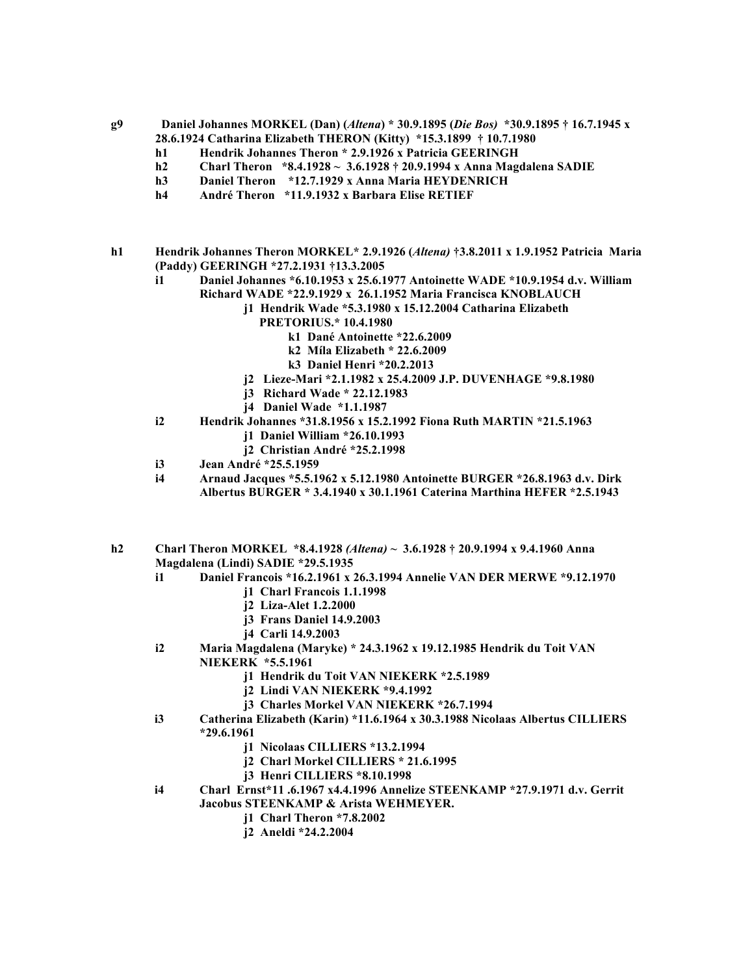**g9 Daniel Johannes MORKEL (Dan) (***Altena***) \* 30.9.1895 (***Die Bos)* **\*30.9.1895 † 16.7.1945 x 28.6.1924 Catharina Elizabeth THERON (Kitty) \*15.3.1899 † 10.7.1980** 

- **h1 Hendrik Johannes Theron \* 2.9.1926 x Patricia GEERINGH**
- **h2 Charl Theron \*8.4.1928 ~ 3.6.1928 † 20.9.1994 x Anna Magdalena SADIE**
- **h3 Daniel Theron \*12.7.1929 x Anna Maria HEYDENRICH**
- **h4 André Theron \*11.9.1932 x Barbara Elise RETIEF**
- **h1 Hendrik Johannes Theron MORKEL\* 2.9.1926 (***Altena)* **†3.8.2011 x 1.9.1952 Patricia Maria (Paddy) GEERINGH \*27.2.1931 †13.3.2005**
	- **i1 Daniel Johannes \*6.10.1953 x 25.6.1977 Antoinette WADE \*10.9.1954 d.v. William Richard WADE \*22.9.1929 x 26.1.1952 Maria Francisca KNOBLAUCH**
		- **j1 Hendrik Wade \*5.3.1980 x 15.12.2004 Catharina Elizabeth**
			- **PRETORIUS.\* 10.4.1980** 
				- **k1 Dané Antoinette \*22.6.2009**
				- **k2 Míla Elizabeth \* 22.6.2009**
			- **k3 Daniel Henri \*20.2.2013**
		- **j2 Lieze-Mari \*2.1.1982 x 25.4.2009 J.P. DUVENHAGE \*9.8.1980**
		- **j3 Richard Wade \* 22.12.1983**
		- **j4 Daniel Wade \*1.1.1987**
	- **i2 Hendrik Johannes \*31.8.1956 x 15.2.1992 Fiona Ruth MARTIN \*21.5.1963**
		- **j1 Daniel William \*26.10.1993**
		- **j2 Christian André \*25.2.1998**
	- **i3 Jean André \*25.5.1959**
	- **i4 Arnaud Jacques \*5.5.1962 x 5.12.1980 Antoinette BURGER \*26.8.1963 d.v. Dirk Albertus BURGER \* 3.4.1940 x 30.1.1961 Caterina Marthina HEFER \*2.5.1943**
- **h2 Charl Theron MORKEL \*8.4.1928** *(Altena)* **~ 3.6.1928 † 20.9.1994 x 9.4.1960 Anna Magdalena (Lindi) SADIE \*29.5.1935**
	- **i1 Daniel Francois \*16.2.1961 x 26.3.1994 Annelie VAN DER MERWE \*9.12.1970**
		- **j1 Charl Francois 1.1.1998**
		- **j2 Liza-Alet 1.2.2000**
		- **j3 Frans Daniel 14.9.2003**
		- **j4 Carli 14.9.2003**
	- **i2 Maria Magdalena (Maryke) \* 24.3.1962 x 19.12.1985 Hendrik du Toit VAN** 
		- **NIEKERK \*5.5.1961**
			- **j1 Hendrik du Toit VAN NIEKERK \*2.5.1989**
			- **j2 Lindi VAN NIEKERK \*9.4.1992**
			- **j3 Charles Morkel VAN NIEKERK \*26.7.1994**
	- **i3 Catherina Elizabeth (Karin) \*11.6.1964 x 30.3.1988 Nicolaas Albertus CILLIERS \*29.6.1961**
		- **j1 Nicolaas CILLIERS \*13.2.1994**
		- **j2 Charl Morkel CILLIERS \* 21.6.1995**
		- **j3 Henri CILLIERS \*8.10.1998**
	- **i4 Charl Ernst\*11 .6.1967 x4.4.1996 Annelize STEENKAMP \*27.9.1971 d.v. Gerrit Jacobus STEENKAMP & Arista WEHMEYER.**
		- **j1 Charl Theron \*7.8.2002**
		- **j2 Aneldi \*24.2.2004**